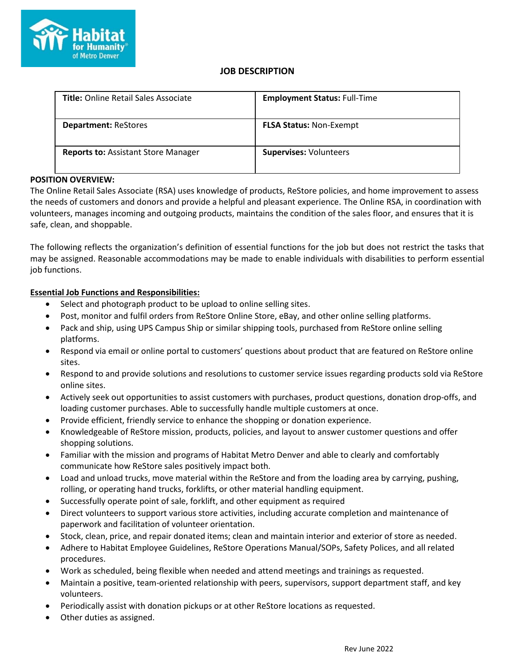

# **JOB DESCRIPTION**

| <b>Title: Online Retail Sales Associate</b> | <b>Employment Status: Full-Time</b> |
|---------------------------------------------|-------------------------------------|
| <b>Department: ReStores</b>                 | <b>FLSA Status: Non-Exempt</b>      |
| <b>Reports to: Assistant Store Manager</b>  | <b>Supervises: Volunteers</b>       |

# **POSITION OVERVIEW:**

The Online Retail Sales Associate (RSA) uses knowledge of products, ReStore policies, and home improvement to assess the needs of customers and donors and provide a helpful and pleasant experience. The Online RSA, in coordination with volunteers, manages incoming and outgoing products, maintains the condition of the sales floor, and ensures that it is safe, clean, and shoppable.

The following reflects the organization's definition of essential functions for the job but does not restrict the tasks that may be assigned. Reasonable accommodations may be made to enable individuals with disabilities to perform essential job functions.

# **Essential Job Functions and Responsibilities:**

- Select and photograph product to be upload to online selling sites.
- Post, monitor and fulfil orders from ReStore Online Store, eBay, and other online selling platforms.
- Pack and ship, using UPS Campus Ship or similar shipping tools, purchased from ReStore online selling platforms.
- Respond via email or online portal to customers' questions about product that are featured on ReStore online sites.
- Respond to and provide solutions and resolutions to customer service issues regarding products sold via ReStore online sites.
- Actively seek out opportunities to assist customers with purchases, product questions, donation drop-offs, and loading customer purchases. Able to successfully handle multiple customers at once.
- Provide efficient, friendly service to enhance the shopping or donation experience.
- Knowledgeable of ReStore mission, products, policies, and layout to answer customer questions and offer shopping solutions.
- Familiar with the mission and programs of Habitat Metro Denver and able to clearly and comfortably communicate how ReStore sales positively impact both.
- Load and unload trucks, move material within the ReStore and from the loading area by carrying, pushing, rolling, or operating hand trucks, forklifts, or other material handling equipment.
- Successfully operate point of sale, forklift, and other equipment as required
- Direct volunteers to support various store activities, including accurate completion and maintenance of paperwork and facilitation of volunteer orientation.
- Stock, clean, price, and repair donated items; clean and maintain interior and exterior of store as needed.
- Adhere to Habitat Employee Guidelines, ReStore Operations Manual/SOPs, Safety Polices, and all related procedures.
- Work as scheduled, being flexible when needed and attend meetings and trainings as requested.
- Maintain a positive, team-oriented relationship with peers, supervisors, support department staff, and key volunteers.
- Periodically assist with donation pickups or at other ReStore locations as requested.
- Other duties as assigned.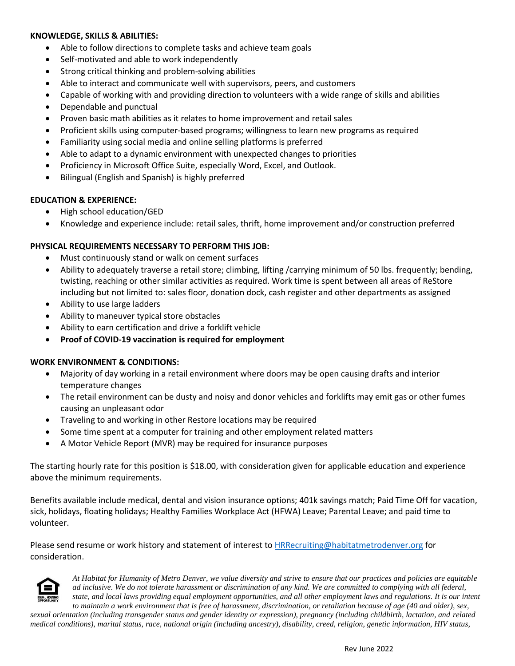## **KNOWLEDGE, SKILLS & ABILITIES:**

- Able to follow directions to complete tasks and achieve team goals
- Self-motivated and able to work independently
- Strong critical thinking and problem-solving abilities
- Able to interact and communicate well with supervisors, peers, and customers
- Capable of working with and providing direction to volunteers with a wide range of skills and abilities
- Dependable and punctual
- Proven basic math abilities as it relates to home improvement and retail sales
- Proficient skills using computer-based programs; willingness to learn new programs as required
- Familiarity using social media and online selling platforms is preferred
- Able to adapt to a dynamic environment with unexpected changes to priorities
- Proficiency in Microsoft Office Suite, especially Word, Excel, and Outlook.
- Bilingual (English and Spanish) is highly preferred

## **EDUCATION & EXPERIENCE:**

- High school education/GED
- Knowledge and experience include: retail sales, thrift, home improvement and/or construction preferred

## **PHYSICAL REQUIREMENTS NECESSARY TO PERFORM THIS JOB:**

- Must continuously stand or walk on cement surfaces
- Ability to adequately traverse a retail store; climbing, lifting /carrying minimum of 50 lbs. frequently; bending, twisting, reaching or other similar activities as required. Work time is spent between all areas of ReStore including but not limited to: sales floor, donation dock, cash register and other departments as assigned
- Ability to use large ladders
- Ability to maneuver typical store obstacles
- Ability to earn certification and drive a forklift vehicle
- **Proof of COVID-19 vaccination is required for employment**

## **WORK ENVIRONMENT & CONDITIONS:**

- Majority of day working in a retail environment where doors may be open causing drafts and interior temperature changes
- The retail environment can be dusty and noisy and donor vehicles and forklifts may emit gas or other fumes causing an unpleasant odor
- Traveling to and working in other Restore locations may be required
- Some time spent at a computer for training and other employment related matters
- A Motor Vehicle Report (MVR) may be required for insurance purposes

The starting hourly rate for this position is \$18.00, with consideration given for applicable education and experience above the minimum requirements.

Benefits available include medical, dental and vision insurance options; 401k savings match; Paid Time Off for vacation, sick, holidays, floating holidays; Healthy Families Workplace Act (HFWA) Leave; Parental Leave; and paid time to volunteer.

Please send resume or work history and statement of interest t[o HRRecruiting@habitatmetrodenver.org](mailto:HRRecruiting@habitatmetrodenver.org) for consideration.



*At Habitat for Humanity of Metro Denver, we value diversity and strive to ensure that our practices and policies are equitable ad inclusive. We do not tolerate harassment or discrimination of any kind. We are committed to complying with all federal, state, and local laws providing equal employment opportunities, and all other employment laws and regulations. It is our intent to maintain a work environment that is free of harassment, discrimination, or retaliation because of age (40 and older), sex,*

*sexual orientation (including transgender status and gender identity or expression), pregnancy (including childbirth, lactation, and related medical conditions), marital status, race, national origin (including ancestry), disability, creed, religion, genetic information, HIV status,*